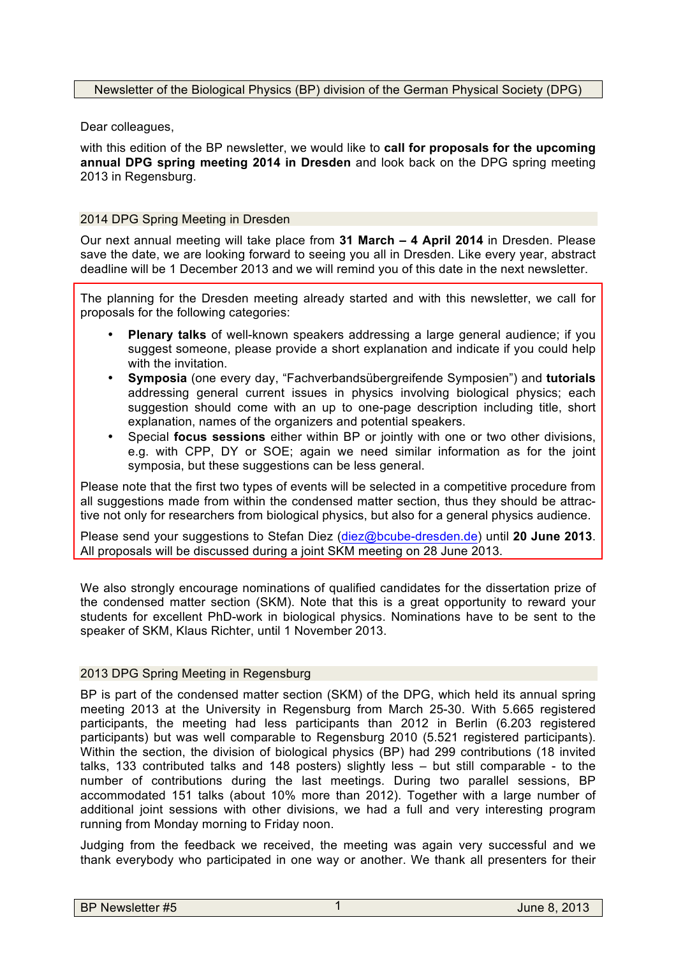Dear colleagues,

with this edition of the BP newsletter, we would like to **call for proposals for the upcoming annual DPG spring meeting 2014 in Dresden** and look back on the DPG spring meeting 2013 in Regensburg.

## 2014 DPG Spring Meeting in Dresden

Our next annual meeting will take place from **31 March – 4 April 2014** in Dresden. Please save the date, we are looking forward to seeing you all in Dresden. Like every year, abstract deadline will be 1 December 2013 and we will remind you of this date in the next newsletter.

The planning for the Dresden meeting already started and with this newsletter, we call for proposals for the following categories:

- **Plenary talks** of well-known speakers addressing a large general audience; if you suggest someone, please provide a short explanation and indicate if you could help with the invitation.
- **Symposia** (one every day, "Fachverbandsübergreifende Symposien") and **tutorials**  addressing general current issues in physics involving biological physics; each suggestion should come with an up to one-page description including title, short explanation, names of the organizers and potential speakers.
- Special **focus sessions** either within BP or jointly with one or two other divisions, e.g. with CPP, DY or SOE; again we need similar information as for the joint symposia, but these suggestions can be less general.

Please note that the first two types of events will be selected in a competitive procedure from all suggestions made from within the condensed matter section, thus they should be attractive not only for researchers from biological physics, but also for a general physics audience.

Please send your suggestions to Stefan Diez (diez@bcube-dresden.de) until **20 June 2013**. All proposals will be discussed during a joint SKM meeting on 28 June 2013.

We also strongly encourage nominations of qualified candidates for the dissertation prize of the condensed matter section (SKM). Note that this is a great opportunity to reward your students for excellent PhD-work in biological physics. Nominations have to be sent to the speaker of SKM, Klaus Richter, until 1 November 2013.

## 2013 DPG Spring Meeting in Regensburg

BP is part of the condensed matter section (SKM) of the DPG, which held its annual spring meeting 2013 at the University in Regensburg from March 25-30. With 5.665 registered participants, the meeting had less participants than 2012 in Berlin (6.203 registered participants) but was well comparable to Regensburg 2010 (5.521 registered participants). Within the section, the division of biological physics (BP) had 299 contributions (18 invited talks, 133 contributed talks and 148 posters) slightly less – but still comparable - to the number of contributions during the last meetings. During two parallel sessions, BP accommodated 151 talks (about 10% more than 2012). Together with a large number of additional joint sessions with other divisions, we had a full and very interesting program running from Monday morning to Friday noon.

Judging from the feedback we received, the meeting was again very successful and we thank everybody who participated in one way or another. We thank all presenters for their